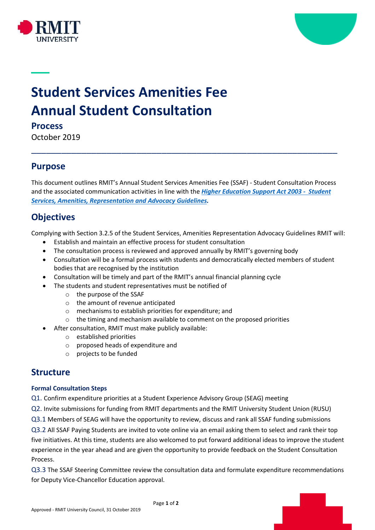



# **Student Services Amenities Fee Annual Student Consultation**

**Process** 

October 2019

## **Purpose**

This document outlines RMIT's Annual Student Services Amenities Fee (SSAF) - Student Consultation Process and the associated communication activities in line with the *[Higher Education Support Act 2003](https://www.legislation.gov.au/Details/F2013C00519) - Student [Services, Amenities, Representation and Advocacy Guidelines.](https://www.legislation.gov.au/Details/F2013C00519)*

\_\_\_\_\_\_\_\_\_\_\_\_\_\_\_\_\_\_\_\_\_\_\_\_\_\_\_\_\_\_\_\_\_\_\_\_\_\_\_\_\_\_\_\_\_\_\_\_\_\_\_\_\_\_\_\_\_\_\_\_\_

# **Objectives**

Complying with Section 3.2.5 of the Student Services, Amenities Representation Advocacy Guidelines RMIT will:

- Establish and maintain an effective process for student consultation
- The consultation process is reviewed and approved annually by RMIT's governing body
- Consultation will be a formal process with students and democratically elected members of student bodies that are recognised by the institution
- Consultation will be timely and part of the RMIT's annual financial planning cycle
- The students and student representatives must be notified of
	- o the purpose of the SSAF
	- o the amount of revenue anticipated
	- o mechanisms to establish priorities for expenditure; and
	- o the timing and mechanism available to comment on the proposed priorities
	- After consultation, RMIT must make publicly available:
		- o established priorities
		- o proposed heads of expenditure and
		- o projects to be funded

## **Structure**

#### **Formal Consultation Steps**

Q1. Confirm expenditure priorities at a Student Experience Advisory Group (SEAG) meeting

- Q2. Invite submissions for funding from RMIT departments and the RMIT University Student Union (RUSU)
- Q3.1 Members of SEAG will have the opportunity to review, discuss and rank all SSAF funding submissions

Q3.2 All SSAF Paying Students are invited to vote online via an email asking them to select and rank their top five initiatives. At this time, students are also welcomed to put forward additional ideas to improve the student experience in the year ahead and are given the opportunity to provide feedback on the Student Consultation Process.

Q3.3 The SSAF Steering Committee review the consultation data and formulate expenditure recommendations for Deputy Vice-Chancellor Education approval.